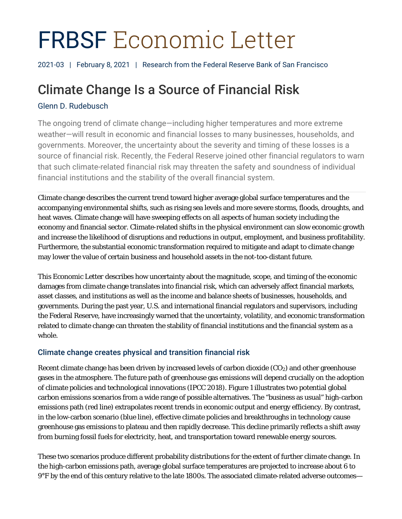# FRBSF Economic Letter

2021-03 | February 8, 2021 | Research from the Federal Reserve Bank of San Francisco

# Climate Change Is a Source of Financial Risk

# Glenn D. Rudebusch

The ongoing trend of climate change—including higher temperatures and more extreme weather—will result in economic and financial losses to many businesses, households, and governments. Moreover, the uncertainty about the severity and timing of these losses is a source of financial risk. Recently, the Federal Reserve joined other financial regulators to warn that such climate-related financial risk may threaten the safety and soundness of individual financial institutions and the stability of the overall financial system.

Climate change describes the current trend toward higher average global surface temperatures and the accompanying environmental shifts, such as rising sea levels and more severe storms, floods, droughts, and heat waves. Climate change will have sweeping effects on all aspects of human society including the economy and financial sector. Climate-related shifts in the physical environment can slow economic growth and increase the likelihood of disruptions and reductions in output, employment, and business profitability. Furthermore, the substantial economic transformation required to mitigate and adapt to climate change may lower the value of certain business and household assets in the not-too-distant future.

This *Economic Letter* describes how uncertainty about the magnitude, scope, and timing of the economic damages from climate change translates into financial risk, which can adversely affect financial markets, asset classes, and institutions as well as the income and balance sheets of businesses, households, and governments. During the past year, U.S. and international financial regulators and supervisors, including the Federal Reserve, have increasingly warned that the uncertainty, volatility, and economic transformation related to climate change can threaten the stability of financial institutions and the financial system as a whole.

# Climate change creates physical and transition financial risk

Recent climate change has been driven by increased levels of carbon dioxide  $(CO_2)$  and other greenhouse gases in the atmosphere. The future path of greenhouse gas emissions will depend crucially on the adoption of climate policies and technological innovations (IPCC 2018). Figure 1 illustrates two potential global carbon emissions scenarios from a wide range of possible alternatives. The "business as usual" high-carbon emissions path (red line) extrapolates recent trends in economic output and energy efficiency. By contrast, in the low-carbon scenario (blue line), effective climate policies and breakthroughs in technology cause greenhouse gas emissions to plateau and then rapidly decrease. This decline primarily reflects a shift away from burning fossil fuels for electricity, heat, and transportation toward renewable energy sources.

These two scenarios produce different probability distributions for the extent of further climate change. In the high-carbon emissions path, average global surface temperatures are projected to increase about 6 to 9°F by the end of this century relative to the late 1800s. The associated climate-related adverse outcomes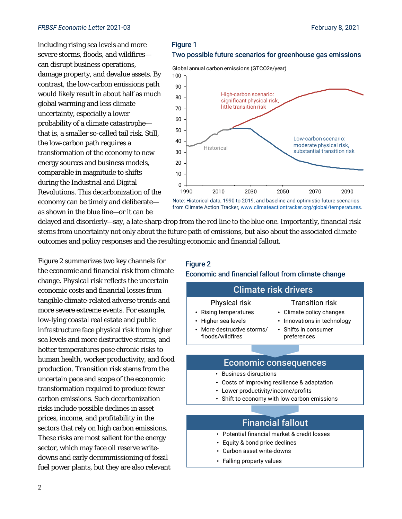including rising sea levels and more severe storms, floods, and wildfires can disrupt business operations, damage property, and devalue assets. By contrast, the low-carbon emissions path would likely result in about half as much global warming and less climate uncertainty, especially a lower probability of a climate catastrophe that is, a smaller so-called tail risk. Still, the low-carbon path requires a transformation of the economy to new energy sources and business models, comparable in magnitude to shifts during the Industrial and Digital Revolutions. This decarbonization of the economy can be timely and deliberate as shown in the blue line—or it can be



Global annual carbon emissions (GTCO2e/year)



from Climate Action Tracker, www.climateactiontracker.org/global/temperatures.

delayed and disorderly—say, a late sharp drop from the red line to the blue one. Importantly, financial risk stems from uncertainty not only about the future path of emissions, but also about the associated climate outcomes and policy responses and the resulting economic and financial fallout.

Figure 2 summarizes two key channels for the economic and financial risk from climate change. *Physical risk* reflects the uncertain economic costs and financial losses from tangible climate-related adverse trends and more severe extreme events. For example, low-lying coastal real estate and public infrastructure face physical risk from higher sea levels and more destructive storms, and hotter temperatures pose chronic risks to human health, worker productivity, and food production. *Transition risk* stems from the uncertain pace and scope of the economic transformation required to produce fewer carbon emissions. Such decarbonization risks include possible declines in asset prices, income, and profitability in the sectors that rely on high carbon emissions. These risks are most salient for the energy sector, which may face oil reserve writedowns and early decommissioning of fossil fuel power plants, but they are also relevant

#### Figure 2

### Economic and financial fallout from climate change

|                                                                                                | <b>Climate risk drivers</b>                                                                    |
|------------------------------------------------------------------------------------------------|------------------------------------------------------------------------------------------------|
| Physical risk<br><b>Transition risk</b>                                                        |                                                                                                |
| • Rising temperatures<br>• Higher sea levels<br>• More destructive storms/<br>floods/wildfires | • Climate policy changes<br>• Innovations in technology<br>• Shifts in consumer<br>preferences |
|                                                                                                |                                                                                                |

## Economic consequences

- Business disruptions
- Costs of improving resilience & adaptation
- Lower productivity/income/profits
- Shift to economy with low carbon emissions

# Financial fallout

- Potential financial market & credit losses
- Equity & bond price declines
- Carbon asset write-downs
- Falling property values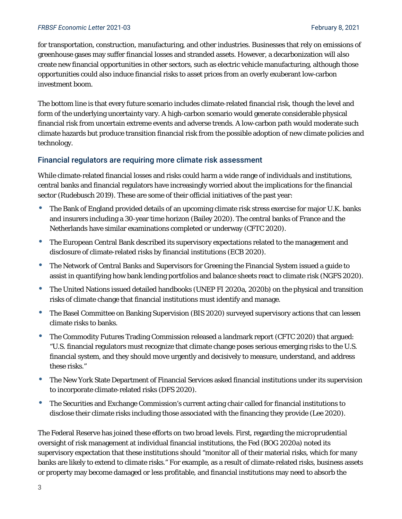#### *FRBSF Economic Letter* 2021-03 February 8, 2021

for transportation, construction, manufacturing, and other industries. Businesses that rely on emissions of greenhouse gases may suffer financial losses and stranded assets. However, a decarbonization will also create new financial opportunities in other sectors, such as electric vehicle manufacturing, although those opportunities could also induce financial risks to asset prices from an overly exuberant low-carbon investment boom.

The bottom line is that every future scenario includes climate-related financial risk, though the level and form of the underlying uncertainty vary. A high-carbon scenario would generate considerable physical financial risk from uncertain extreme events and adverse trends. A low-carbon path would moderate such climate hazards but produce transition financial risk from the possible adoption of new climate policies and technology.

# Financial regulators are requiring more climate risk assessment

While climate-related financial losses and risks could harm a wide range of individuals and institutions, central banks and financial regulators have increasingly worried about the implications for the financial sector (Rudebusch 2019). These are some of their official initiatives of the past year:

- The Bank of England provided details of an upcoming climate risk stress exercise for major U.K. banks and insurers including a 30-year time horizon (Bailey 2020). The central banks of France and the Netherlands have similar examinations completed or underway (CFTC 2020).
- The European Central Bank described its supervisory expectations related to the management and disclosure of climate-related risks by financial institutions (ECB 2020).
- The Network of Central Banks and Supervisors for Greening the Financial System issued a guide to assist in quantifying how bank lending portfolios and balance sheets react to climate risk (NGFS 2020).
- The United Nations issued detailed handbooks (UNEP FI 2020a, 2020b) on the physical and transition risks of climate change that financial institutions must identify and manage.
- The Basel Committee on Banking Supervision (BIS 2020) surveyed supervisory actions that can lessen climate risks to banks.
- The Commodity Futures Trading Commission released a landmark report (CFTC 2020) that argued: "U.S. financial regulators must recognize that climate change poses serious emerging risks to the U.S. financial system, and they should move urgently and decisively to measure, understand, and address these risks."
- The New York State Department of Financial Services asked financial institutions under its supervision to incorporate climate-related risks (DFS 2020).
- The Securities and Exchange Commission's current acting chair called for financial institutions to disclose their climate risks including those associated with the financing they provide (Lee 2020).

The Federal Reserve has joined these efforts on two broad levels. First, regarding the *microprudential* oversight of risk management at individual financial institutions, the Fed (BOG 2020a) noted its supervisory expectation that these institutions should "monitor all of their material risks, which for many banks are likely to extend to climate risks." For example, as a result of climate-related risks, business assets or property may become damaged or less profitable, and financial institutions may need to absorb the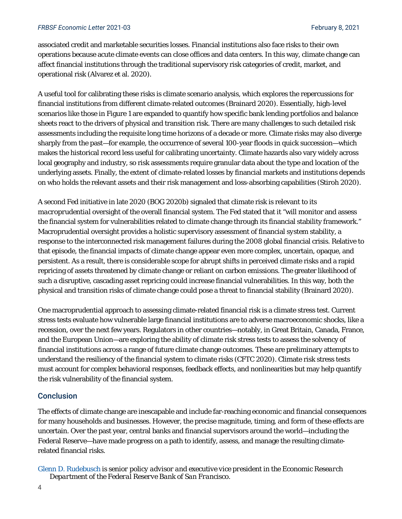#### *FRBSF Economic Letter* 2021-03 February 8, 2021

associated credit and marketable securities losses. Financial institutions also face risks to their own operations because acute climate events can close offices and data centers. In this way, climate change can affect financial institutions through the traditional supervisory risk categories of credit, market, and operational risk (Alvarez et al. 2020).

A useful tool for calibrating these risks is climate scenario analysis, which explores the repercussions for financial institutions from different climate-related outcomes (Brainard 2020). Essentially, high-level scenarios like those in Figure 1 are expanded to quantify how specific bank lending portfolios and balance sheets react to the drivers of physical and transition risk. There are many challenges to such detailed risk assessments including the requisite long time horizons of a decade or more. Climate risks may also diverge sharply from the past—for example, the occurrence of several 100-year floods in quick succession—which makes the historical record less useful for calibrating uncertainty. Climate hazards also vary widely across local geography and industry, so risk assessments require granular data about the type and location of the underlying assets. Finally, the extent of climate-related losses by financial markets and institutions depends on who holds the relevant assets and their risk management and loss-absorbing capabilities (Stiroh 2020).

A second Fed initiative in late 2020 (BOG 2020b) signaled that climate risk is relevant to its *macroprudential* oversight of the overall financial system. The Fed stated that it "will monitor and assess the financial system for vulnerabilities related to climate change through its financial stability framework." Macroprudential oversight provides a holistic supervisory assessment of financial *system* stability, a response to the interconnected risk management failures during the 2008 global financial crisis. Relative to that episode, the financial impacts of climate change appear even more complex, uncertain, opaque, and persistent. As a result, there is considerable scope for abrupt shifts in perceived climate risks and a rapid repricing of assets threatened by climate change or reliant on carbon emissions. The greater likelihood of such a disruptive, cascading asset repricing could increase financial vulnerabilities. In this way, both the physical and transition risks of climate change could pose a threat to financial stability (Brainard 2020).

One macroprudential approach to assessing climate-related financial risk is a climate stress test. Current stress tests evaluate how vulnerable large financial institutions are to adverse macroeconomic shocks, like a recession, over the next few years. Regulators in other countries—notably, in Great Britain, Canada, France, and the European Union—are exploring the ability of climate risk stress tests to assess the solvency of financial institutions across a range of future climate change outcomes. These are preliminary attempts to understand the resiliency of the financial system to climate risks (CFTC 2020). Climate risk stress tests must account for complex behavioral responses, feedback effects, and nonlinearities but may help quantify the risk vulnerability of the financial system.

# **Conclusion**

The effects of climate change are inescapable and include far-reaching economic and financial consequences for many households and businesses. However, the precise magnitude, timing, and form of these effects are uncertain. Over the past year, central banks and financial supervisors around the world—including the Federal Reserve—have made progress on a path to identify, assess, and manage the resulting climaterelated financial risks.

*Glenn D. Rudebusch is senior policy advisor and executive vice president in the Economic Research Department of the Federal Reserve Bank of San Francisco.*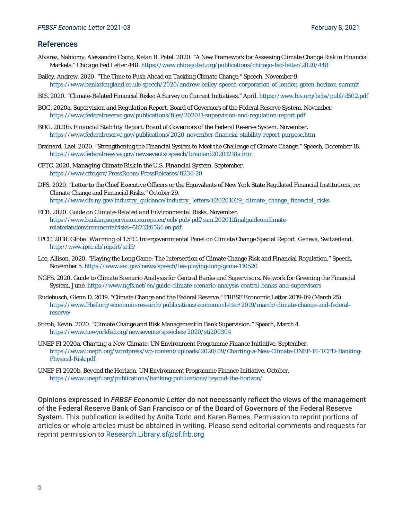#### References

- Alvarez, Nahiomy, Alessandro Cocco, Ketan B. Patel. 2020. "A New Framework for Assessing Climate Change Risk in Financial Markets." *Chicago Fed Letter* 448. https://www.chicagofed.org/publications/chicago-fed-letter/2020/448
- Bailey, Andrew. 2020. "The Time to Push Ahead on Tackling Climate Change." Speech, November 9. https://www.bankofengland.co.uk/speech/2020/andrew-bailey-speech-corporation-of-london-green-horizon-summit
- BIS. 2020. "Climate-Related Financial Risks: A Survey on Current Initiatives." April. https://www.bis.org/bcbs/publ/d502.pdf
- BOG. 2020a. *Supervision and Regulation Report*. Board of Governors of the Federal Reserve System. November. https://www.federalreserve.gov/publications/files/202011-supervision-and-regulation-report.pdf
- BOG. 2020b. *Financial Stability Report*. Board of Governors of the Federal Reserve System. November. https://www.federalreserve.gov/publications/2020-november-financial-stability-report-purpose.htm
- Brainard, Lael. 2020. "Strengthening the Financial System to Meet the Challenge of Climate Change." Speech, December 18. https://www.federalreserve.gov/newsevents/speech/brainard20201218a.htm
- CFTC. 2020. *Managing Climate Risk in the U.S. Financial System*. September. https://www.cftc.gov/PressRoom/PressReleases/8234-20
- DFS. 2020. "Letter to the Chief Executive Officers or the Equivalents of New York State Regulated Financial Institutions, re: Climate Change and Financial Risks." October 29. https://www.dfs.ny.gov/industry\_guidance/industry\_letters/il20201029\_climate\_change\_financial\_risks
- ECB. 2020. *Guide on Climate-Related and Environmental Risks*. November. https://www.bankingsupervision.europa.eu/ecb/pub/pdf/ssm.202011finalguideonclimaterelatedandenvironmentalrisks~58213f6564.en.pdf
- IPCC. 2018. *Global Warming of 1.5°C*. Intergovernmental Panel on Climate Change Special Report. Geneva, Switzerland. http://www.ipcc.ch/report/sr15/
- Lee, Allison. 2020. "Playing the Long Game: The Intersection of Climate Change Risk and Financial Regulation." Speech, November 5. https://www.sec.gov/news/speech/lee-playing-long-game-110520
- NGFS. 2020. *Guide to Climate Scenario Analysis for Central Banks and Supervisors*. Network for Greening the Financial System, June. https://www.ngfs.net/en/guide-climate-scenario-analysis-central-banks-and-supervisors
- Rudebusch, Glenn D. 2019. "Climate Change and the Federal Reserve." *FRBSF Economic Letter* 2019-09 (March 25). https://www.frbsf.org/economic-research/publications/economic-letter/2019/march/climate-change-and-federalreserve/
- Stiroh, Kevin. 2020. "Climate Change and Risk Management in Bank Supervision." Speech, March 4. https://www.newyorkfed.org/newsevents/speeches/2020/sti200304
- UNEP FI 2020a. *Charting a New Climate*. UN Environment Programme Finance Initiative. September. https://www.unepfi.org/wordpress/wp-content/uploads/2020/09/Charting-a-New-Climate-UNEP-FI-TCFD-Banking-Physical-Risk.pdf
- UNEP FI 2020b. *Beyond the Horizon.* UN Environment Programme Finance Initiative. October. https://www.unepfi.org/publications/banking-publications/beyond-the-horizon/

Opinions expressed in *FRBSF Economic Letter* do not necessarily reflect the views of the management of the Federal Reserve Bank of San Francisco or of the Board of Governors of the Federal Reserve System. This publication is edited by Anita Todd and Karen Barnes. Permission to reprint portions of articles or whole articles must be obtained in writing. Please send editorial comments and requests for reprint permission to Research.Library.sf@sf.frb.org